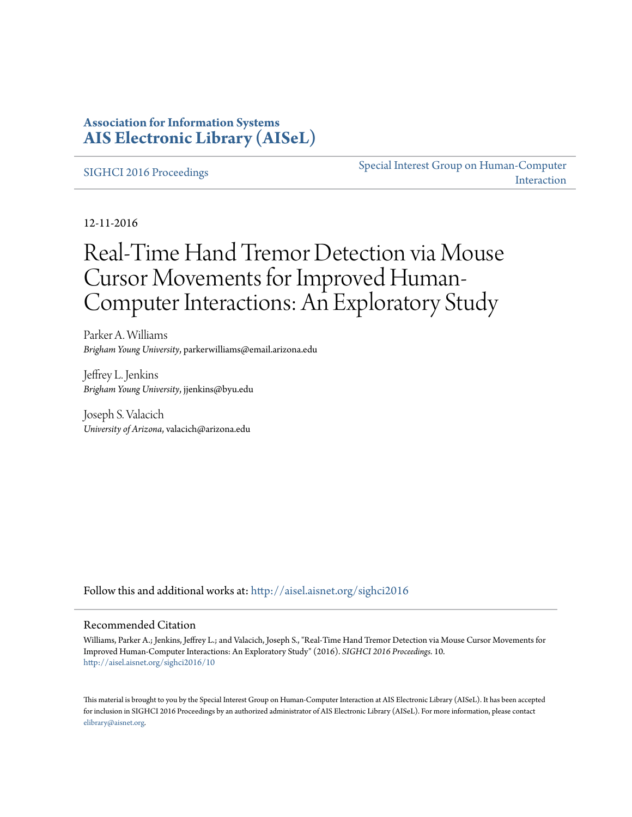### **Association for Information Systems [AIS Electronic Library \(AISeL\)](http://aisel.aisnet.org?utm_source=aisel.aisnet.org%2Fsighci2016%2F10&utm_medium=PDF&utm_campaign=PDFCoverPages)**

[SIGHCI 2016 Proceedings](http://aisel.aisnet.org/sighci2016?utm_source=aisel.aisnet.org%2Fsighci2016%2F10&utm_medium=PDF&utm_campaign=PDFCoverPages)

[Special Interest Group on Human-Computer](http://aisel.aisnet.org/sighci?utm_source=aisel.aisnet.org%2Fsighci2016%2F10&utm_medium=PDF&utm_campaign=PDFCoverPages) [Interaction](http://aisel.aisnet.org/sighci?utm_source=aisel.aisnet.org%2Fsighci2016%2F10&utm_medium=PDF&utm_campaign=PDFCoverPages)

12-11-2016

# Real-Time Hand Tremor Detection via Mouse Cursor Movements for Improved Human-Computer Interactions: An Exploratory Study

Parker A. Williams *Brigham Young University*, parkerwilliams@email.arizona.edu

Jeffrey L. Jenkins *Brigham Young University*, jjenkins@byu.edu

Joseph S. Valacich *University of Arizona*, valacich@arizona.edu

Follow this and additional works at: [http://aisel.aisnet.org/sighci2016](http://aisel.aisnet.org/sighci2016?utm_source=aisel.aisnet.org%2Fsighci2016%2F10&utm_medium=PDF&utm_campaign=PDFCoverPages)

#### Recommended Citation

Williams, Parker A.; Jenkins, Jeffrey L.; and Valacich, Joseph S., "Real-Time Hand Tremor Detection via Mouse Cursor Movements for Improved Human-Computer Interactions: An Exploratory Study" (2016). *SIGHCI 2016 Proceedings*. 10. [http://aisel.aisnet.org/sighci2016/10](http://aisel.aisnet.org/sighci2016/10?utm_source=aisel.aisnet.org%2Fsighci2016%2F10&utm_medium=PDF&utm_campaign=PDFCoverPages)

This material is brought to you by the Special Interest Group on Human-Computer Interaction at AIS Electronic Library (AISeL). It has been accepted for inclusion in SIGHCI 2016 Proceedings by an authorized administrator of AIS Electronic Library (AISeL). For more information, please contact [elibrary@aisnet.org.](mailto:elibrary@aisnet.org%3E)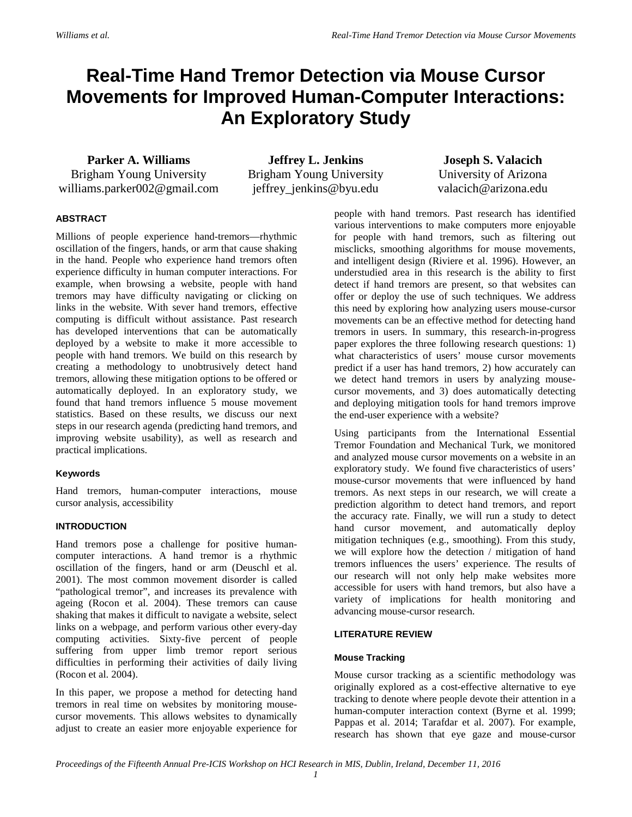## **Real-Time Hand Tremor Detection via Mouse Cursor Movements for Improved Human-Computer Interactions: An Exploratory Study**

**Parker A. Williams** Brigham Young University williams.parker002@gmail.com

**Jeffrey L. Jenkins** Brigham Young University jeffrey\_jenkins@byu.edu

**Joseph S. Valacich** University of Arizona valacich@arizona.edu

#### **ABSTRACT**

Millions of people experience hand-tremors—rhythmic oscillation of the fingers, hands, or arm that cause shaking in the hand. People who experience hand tremors often experience difficulty in human computer interactions. For example, when browsing a website, people with hand tremors may have difficulty navigating or clicking on links in the website. With sever hand tremors, effective computing is difficult without assistance. Past research has developed interventions that can be automatically deployed by a website to make it more accessible to people with hand tremors. We build on this research by creating a methodology to unobtrusively detect hand tremors, allowing these mitigation options to be offered or automatically deployed. In an exploratory study, we found that hand tremors influence 5 mouse movement statistics. Based on these results, we discuss our next steps in our research agenda (predicting hand tremors, and improving website usability), as well as research and practical implications.

#### **Keywords**

Hand tremors, human-computer interactions, mouse cursor analysis, accessibility

#### **INTRODUCTION**

Hand tremors pose a challenge for positive humancomputer interactions. A hand tremor is a rhythmic oscillation of the fingers, hand or arm [\(Deuschl et al.](#page-4-0)  [2001\)](#page-4-0). The most common movement disorder is called "pathological tremor", and increases its prevalence with ageing [\(Rocon et al. 2004\)](#page-5-0). These tremors can cause shaking that makes it difficult to navigate a website, select links on a webpage, and perform various other every-day computing activities. Sixty-five percent of people suffering from upper limb tremor report serious difficulties in performing their activities of daily living [\(Rocon et al. 2004\)](#page-5-0).

In this paper, we propose a method for detecting hand tremors in real time on websites by monitoring mousecursor movements. This allows websites to dynamically adjust to create an easier more enjoyable experience for people with hand tremors. Past research has identified various interventions to make computers more enjoyable for people with hand tremors, such as filtering out misclicks, smoothing algorithms for mouse movements, and intelligent design [\(Riviere et al. 1996\)](#page-5-1). However, an understudied area in this research is the ability to first detect if hand tremors are present, so that websites can offer or deploy the use of such techniques. We address this need by exploring how analyzing users mouse-cursor movements can be an effective method for detecting hand tremors in users. In summary, this research-in-progress paper explores the three following research questions: 1) what characteristics of users' mouse cursor movements predict if a user has hand tremors, 2) how accurately can we detect hand tremors in users by analyzing mousecursor movements, and 3) does automatically detecting and deploying mitigation tools for hand tremors improve the end-user experience with a website?

Using participants from the International Essential Tremor Foundation and Mechanical Turk, we monitored and analyzed mouse cursor movements on a website in an exploratory study. We found five characteristics of users' mouse-cursor movements that were influenced by hand tremors. As next steps in our research, we will create a prediction algorithm to detect hand tremors, and report the accuracy rate. Finally, we will run a study to detect hand cursor movement, and automatically deploy mitigation techniques (e.g., smoothing). From this study, we will explore how the detection / mitigation of hand tremors influences the users' experience. The results of our research will not only help make websites more accessible for users with hand tremors, but also have a variety of implications for health monitoring and advancing mouse-cursor research.

#### **LITERATURE REVIEW**

#### **Mouse Tracking**

Mouse cursor tracking as a scientific methodology was originally explored as a cost-effective alternative to eye tracking to denote where people devote their attention in a human-computer interaction context [\(Byrne et al. 1999;](#page-4-1) [Pappas et al. 2014;](#page-5-2) [Tarafdar et al. 2007\)](#page-5-3). For example, research has shown that eye gaze and mouse-cursor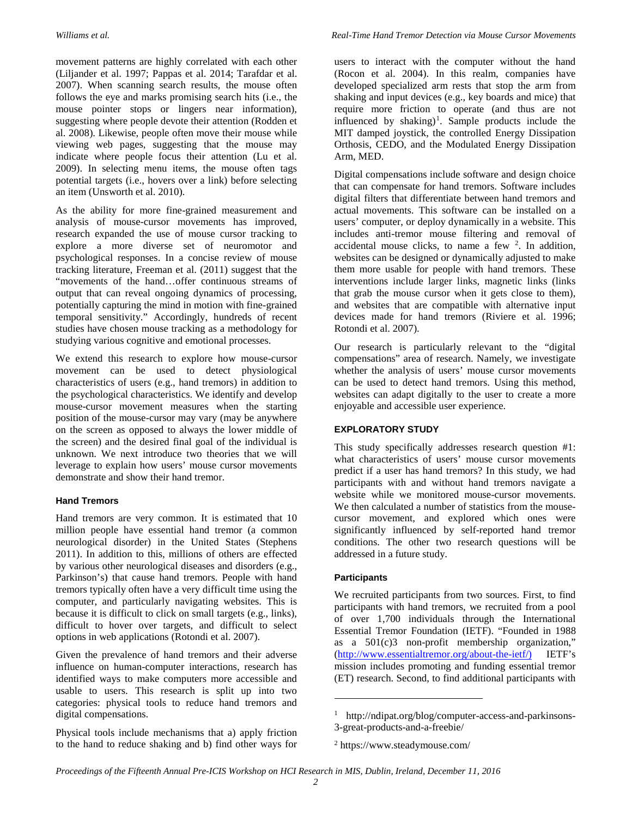movement patterns are highly correlated with each other [\(Liljander et al. 1997;](#page-4-2) [Pappas et al. 2014;](#page-5-2) [Tarafdar et al.](#page-5-3)  [2007\)](#page-5-3). When scanning search results, the mouse often follows the eye and marks promising search hits (i.e., the mouse pointer stops or lingers near information), suggesting where people devote their attention [\(Rodden et](#page-5-4)  [al. 2008\)](#page-5-4). Likewise, people often move their mouse while viewing web pages, suggesting that the mouse may indicate where people focus their attention [\(Lu et al.](#page-4-3)  [2009\)](#page-4-3). In selecting menu items, the mouse often tags potential targets (i.e., hovers over a link) before selecting an item [\(Unsworth et al. 2010\)](#page-5-5).

As the ability for more fine-grained measurement and analysis of mouse-cursor movements has improved, research expanded the use of mouse cursor tracking to explore a more diverse set of neuromotor and psychological responses. In a concise review of mouse tracking literature, [Freeman et al. \(2011\)](#page-4-4) suggest that the "movements of the hand…offer continuous streams of output that can reveal ongoing dynamics of processing, potentially capturing the mind in motion with fine-grained temporal sensitivity." Accordingly, hundreds of recent studies have chosen mouse tracking as a methodology for studying various cognitive and emotional processes.

We extend this research to explore how mouse-cursor movement can be used to detect physiological characteristics of users (e.g., hand tremors) in addition to the psychological characteristics. We identify and develop mouse-cursor movement measures when the starting position of the mouse-cursor may vary (may be anywhere on the screen as opposed to always the lower middle of the screen) and the desired final goal of the individual is unknown. We next introduce two theories that we will leverage to explain how users' mouse cursor movements demonstrate and show their hand tremor.

#### **Hand Tremors**

Hand tremors are very common. It is estimated that 10 million people have essential hand tremor (a common neurological disorder) in the United States [\(Stephens](#page-5-6)  [2011\)](#page-5-6). In addition to this, millions of others are effected by various other neurological diseases and disorders (e.g., Parkinson's) that cause hand tremors. People with hand tremors typically often have a very difficult time using the computer, and particularly navigating websites. This is because it is difficult to click on small targets (e.g., links), difficult to hover over targets, and difficult to select options in web applications [\(Rotondi et al. 2007\)](#page-5-7).

Given the prevalence of hand tremors and their adverse influence on human-computer interactions, research has identified ways to make computers more accessible and usable to users. This research is split up into two categories: physical tools to reduce hand tremors and digital compensations.

<span id="page-2-1"></span><span id="page-2-0"></span>Physical tools include mechanisms that a) apply friction to the hand to reduce shaking and b) find other ways for

users to interact with the computer without the hand (Rocon et al. 2004). In this realm, companies have developed specialized arm rests that stop the arm from shaking and input devices (e.g., key boards and mice) that require more friction to operate (and thus are not influenced by shaking)<sup>[1](#page-2-0)</sup>. Sample products include the MIT damped joystick, the controlled Energy Dissipation Orthosis, CEDO, and the Modulated Energy Dissipation Arm, MED.

Digital compensations include software and design choice that can compensate for hand tremors. Software includes digital filters that differentiate between hand tremors and actual movements. This software can be installed on a users' computer, or deploy dynamically in a website. This includes anti-tremor mouse filtering and removal of accidental mouse clicks, to name a few  $2$ . In addition, websites can be designed or dynamically adjusted to make them more usable for people with hand tremors. These interventions include larger links, magnetic links (links that grab the mouse cursor when it gets close to them), and websites that are compatible with alternative input devices made for hand tremors [\(Riviere et al. 1996;](#page-5-1) [Rotondi et al. 2007\)](#page-5-7).

Our research is particularly relevant to the "digital compensations" area of research. Namely, we investigate whether the analysis of users' mouse cursor movements can be used to detect hand tremors. Using this method, websites can adapt digitally to the user to create a more enjoyable and accessible user experience.

#### **EXPLORATORY STUDY**

This study specifically addresses research question #1: what characteristics of users' mouse cursor movements predict if a user has hand tremors? In this study, we had participants with and without hand tremors navigate a website while we monitored mouse-cursor movements. We then calculated a number of statistics from the mousecursor movement, and explored which ones were significantly influenced by self-reported hand tremor conditions. The other two research questions will be addressed in a future study.

#### **Participants**

We recruited participants from two sources. First, to find participants with hand tremors, we recruited from a pool of over 1,700 individuals through the International Essential Tremor Foundation (IETF). "Founded in 1988 as a 501(c)3 non-profit membership organization," [\(http://www.essentialtremor.org/about-the-ietf/\)](http://www.essentialtremor.org/about-the-ietf/)) IETF's mission includes promoting and funding essential tremor (ET) research. Second, to find additional participants with

 $\overline{a}$ 

<sup>1</sup> http://ndipat.org/blog/computer-access-and-parkinsons-

<sup>3-</sup>great-products-and-a-freebie/

<sup>2</sup> https://www.steadymouse.com/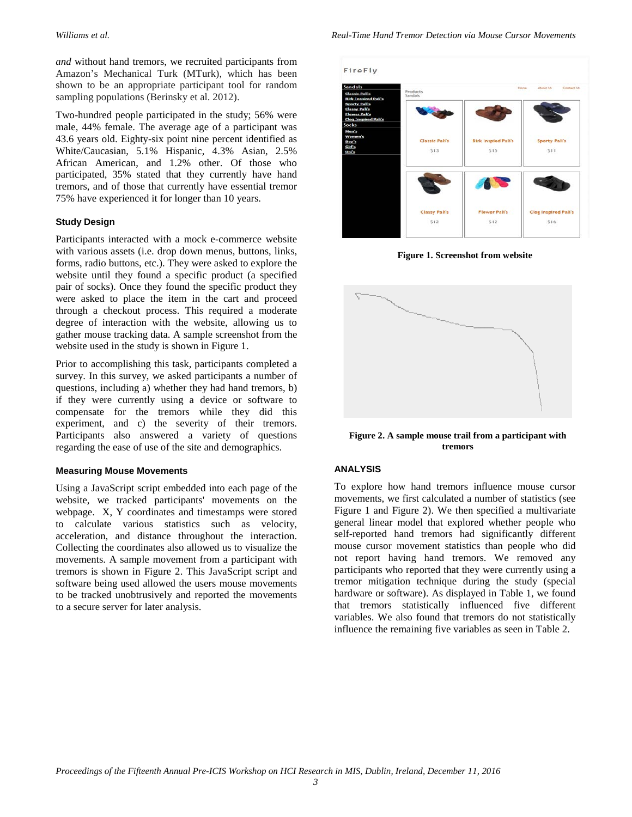*and* without hand tremors, we recruited participants from Amazon's Mechanical Turk (MTurk), which has been shown to be an appropriate participant tool for random sampling populations [\(Berinsky et al. 2012\)](#page-4-5).

Two-hundred people participated in the study; 56% were male, 44% female. The average age of a participant was 43.6 years old. Eighty-six point nine percent identified as White/Caucasian, 5.1% Hispanic, 4.3% Asian, 2.5% African American, and 1.2% other. Of those who participated, 35% stated that they currently have hand tremors, and of those that currently have essential tremor 75% have experienced it for longer than 10 years.

#### **Study Design**

Participants interacted with a mock e-commerce website with various assets (i.e. drop down menus, buttons, links, forms, radio buttons, etc.). They were asked to explore the website until they found a specific product (a specified pair of socks). Once they found the specific product they were asked to place the item in the cart and proceed through a checkout process. This required a moderate degree of interaction with the website, allowing us to gather mouse tracking data. A sample screenshot from the website used in the study is shown in Figure 1.

Prior to accomplishing this task, participants completed a survey. In this survey, we asked participants a number of questions, including a) whether they had hand tremors, b) if they were currently using a device or software to compensate for the tremors while they did this experiment, and c) the severity of their tremors. Participants also answered a variety of questions regarding the ease of use of the site and demographics.

#### **Measuring Mouse Movements**

Using a JavaScript script embedded into each page of the website, we tracked participants' movements on the webpage. X, Y coordinates and timestamps were stored to calculate various statistics such as velocity, acceleration, and distance throughout the interaction. Collecting the coordinates also allowed us to visualize the movements. A sample movement from a participant with tremors is shown in Figure 2. This JavaScript script and software being used allowed the users mouse movements to be tracked unobtrusively and reported the movements to a secure server for later analysis.



**Figure 1. Screenshot from website**



**Figure 2. A sample mouse trail from a participant with tremors**

#### **ANALYSIS**

To explore how hand tremors influence mouse cursor movements, we first calculated a number of statistics (see Figure 1 and Figure 2). We then specified a multivariate general linear model that explored whether people who self-reported hand tremors had significantly different mouse cursor movement statistics than people who did not report having hand tremors. We removed any participants who reported that they were currently using a tremor mitigation technique during the study (special hardware or software). As displayed in Table 1, we found that tremors statistically influenced five different variables. We also found that tremors do not statistically influence the remaining five variables as seen in Table 2.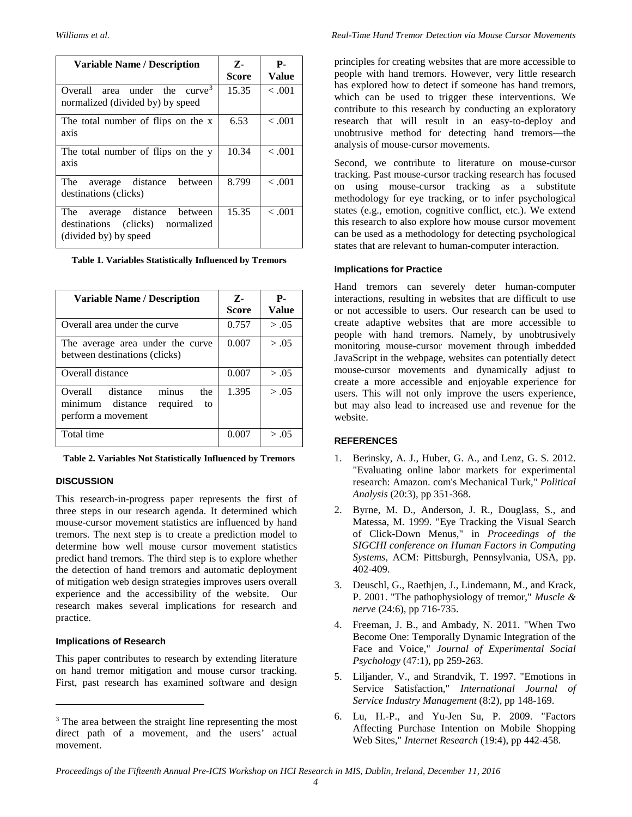| <b>Variable Name / Description</b>                                                              | $Z$ -<br><b>Score</b> | <b>P.</b><br><b>Value</b> |
|-------------------------------------------------------------------------------------------------|-----------------------|---------------------------|
| area under the curve <sup>3</sup><br>Overall<br>normalized (divided by) by speed                | 15.35                 | $-.001$                   |
| The total number of flips on the x<br>axis                                                      | 6.53                  | $-.001$                   |
| The total number of flips on the y<br>axis                                                      | 10.34                 | $-.001$                   |
| The average distance<br>between<br>destinations (clicks)                                        | 8.799                 | $-.001$                   |
| The average<br>distance<br>between<br>destinations (clicks) normalized<br>(divided by) by speed | 15.35                 | $-.001$                   |

**Table 1. Variables Statistically Influenced by Tremors**

| <b>Variable Name / Description</b>                                                           | $Z$ -<br><b>Score</b> | <b>P.</b><br><b>Value</b> |
|----------------------------------------------------------------------------------------------|-----------------------|---------------------------|
| Overall area under the curve                                                                 | 0.757                 | > .05                     |
| The average area under the curve<br>between destinations (clicks)                            | 0.007                 | > .05                     |
| Overall distance                                                                             | 0.007                 | > .05                     |
| minus<br>Overall distance<br>the<br>minimum distance<br>required<br>to<br>perform a movement | 1.395                 | > .05                     |
| Total time                                                                                   | 0.007                 | > .05                     |

**Table 2. Variables Not Statistically Influenced by Tremors**

#### **DISCUSSION**

This research-in-progress paper represents the first of three steps in our research agenda. It determined which mouse-cursor movement statistics are influenced by hand tremors. The next step is to create a prediction model to determine how well mouse cursor movement statistics predict hand tremors. The third step is to explore whether the detection of hand tremors and automatic deployment of mitigation web design strategies improves users overall experience and the accessibility of the website. Our research makes several implications for research and practice.

#### **Implications of Research**

 $\overline{a}$ 

This paper contributes to research by extending literature on hand tremor mitigation and mouse cursor tracking. First, past research has examined software and design

principles for creating websites that are more accessible to people with hand tremors. However, very little research has explored how to detect if someone has hand tremors, which can be used to trigger these interventions. We contribute to this research by conducting an exploratory research that will result in an easy-to-deploy and unobtrusive method for detecting hand tremors—the analysis of mouse-cursor movements.

Second, we contribute to literature on mouse-cursor tracking. Past mouse-cursor tracking research has focused on using mouse-cursor tracking as a substitute methodology for eye tracking, or to infer psychological states (e.g., emotion, cognitive conflict, etc.). We extend this research to also explore how mouse cursor movement can be used as a methodology for detecting psychological states that are relevant to human-computer interaction.

#### **Implications for Practice**

Hand tremors can severely deter human-computer interactions, resulting in websites that are difficult to use or not accessible to users. Our research can be used to create adaptive websites that are more accessible to people with hand tremors. Namely, by unobtrusively monitoring mouse-cursor movement through imbedded JavaScript in the webpage, websites can potentially detect mouse-cursor movements and dynamically adjust to create a more accessible and enjoyable experience for users. This will not only improve the users experience, but may also lead to increased use and revenue for the website.

#### **REFERENCES**

- <span id="page-4-5"></span>1. Berinsky, A. J., Huber, G. A., and Lenz, G. S. 2012. "Evaluating online labor markets for experimental research: Amazon. com's Mechanical Turk," *Political Analysis* (20:3), pp 351-368.
- <span id="page-4-1"></span>2. Byrne, M. D., Anderson, J. R., Douglass, S., and Matessa, M. 1999. "Eye Tracking the Visual Search of Click-Down Menus," in *Proceedings of the SIGCHI conference on Human Factors in Computing Systems*, ACM: Pittsburgh, Pennsylvania, USA, pp. 402-409.
- <span id="page-4-0"></span>3. Deuschl, G., Raethjen, J., Lindemann, M., and Krack, P. 2001. "The pathophysiology of tremor," *Muscle & nerve* (24:6), pp 716-735.
- <span id="page-4-4"></span>4. Freeman, J. B., and Ambady, N. 2011. "When Two Become One: Temporally Dynamic Integration of the Face and Voice," *Journal of Experimental Social Psychology* (47:1), pp 259-263.
- <span id="page-4-2"></span>5. Liljander, V., and Strandvik, T. 1997. "Emotions in Service Satisfaction," *International Journal of Service Industry Management* (8:2), pp 148-169.
- <span id="page-4-3"></span>6. Lu, H.-P., and Yu-Jen Su, P. 2009. "Factors Affecting Purchase Intention on Mobile Shopping Web Sites," *Internet Research* (19:4), pp 442-458.

<span id="page-4-6"></span><sup>&</sup>lt;sup>3</sup> The area between the straight line representing the most direct path of a movement, and the users' actual movement.